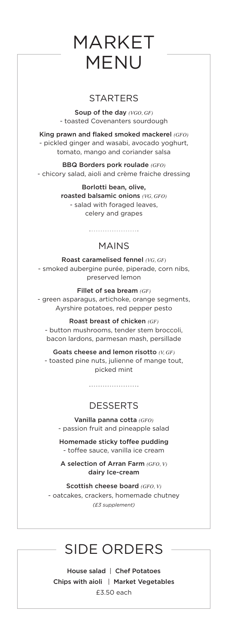## MARKET MENU

## **STARTERS**

Soup of the day *(VGO, GF)* - toasted Covenanters sourdough

King prawn and flaked smoked mackerel *(GFO)* - pickled ginger and wasabi, avocado yoghurt, tomato, mango and coriander salsa

BBQ Borders pork roulade *(GFO)* - chicory salad, aioli and crème fraiche dressing

> Borlotti bean, olive, roasted balsamic onions *(VG, GFO)* - salad with foraged leaves, celery and grapes

## MAINS

Roast caramelised fennel *(VG, GF)* - smoked aubergine purée, piperade, corn nibs, preserved lemon

Fillet of sea bream *(GF)* - green asparagus, artichoke, orange segments, Ayrshire potatoes, red pepper pesto

#### Roast breast of chicken *(GF)*

- button mushrooms, tender stem broccoli, bacon lardons, parmesan mash, persillade

Goats cheese and lemon risotto *(V, GF)* - toasted pine nuts, julienne of mange tout, picked mint

## DESSERTS

Vanilla panna cotta *(GFO)* - passion fruit and pineapple salad

Homemade sticky toffee pudding - toffee sauce, vanilla ice cream

A selection of Arran Farm *(GFO, V)* dairy Ice-cream

Scottish cheese board *(GFO, V)* - oatcakes, crackers, homemade chutney *(£3 supplement)* 

## SIDE ORDERS

House salad | Chef Potatoes Chips with aioli | Market Vegetables £3.50 each